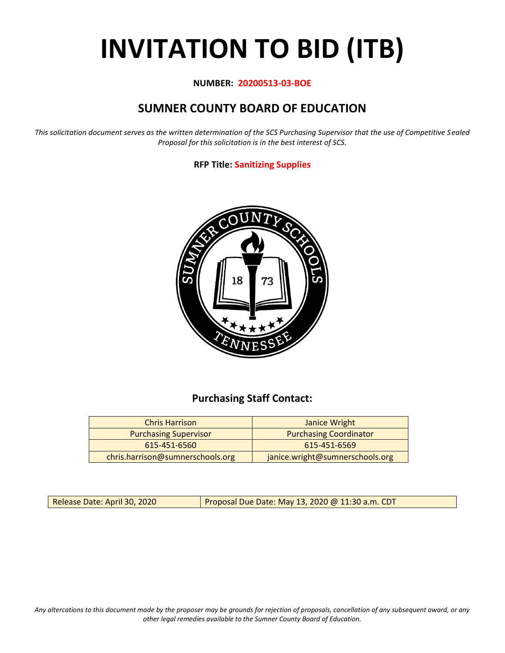# **INVITATION TO BID (ITB)**

### **NUMBER: 20200513-03-BOE**

# **SUMNER COUNTY BOARD OF EDUCATION**

*This solicitation document serves as the written determination of the SCS Purchasing Supervisor that the use of Competitive Sealed Proposal for this solicitation is in the best interest of SCS.*

## **RFP Title: Sanitizing Supplies**



# **Purchasing Staff Contact:**

| <b>Chris Harrison</b>            | Janice Wright                   |
|----------------------------------|---------------------------------|
| <b>Purchasing Supervisor</b>     | <b>Purchasing Coordinator</b>   |
| 615-451-6560                     | 615-451-6569                    |
| chris.harrison@sumnerschools.org | janice.wright@sumnerschools.org |

Release Date: April 30, 2020 | Proposal Due Date: May 13, 2020 @ 11:30 a.m. CDT

*Any altercations to this document made by the proposer may be grounds for rejection of proposals, cancellation of any subsequent award, or any other legal remedies available to the Sumner County Board of Education.*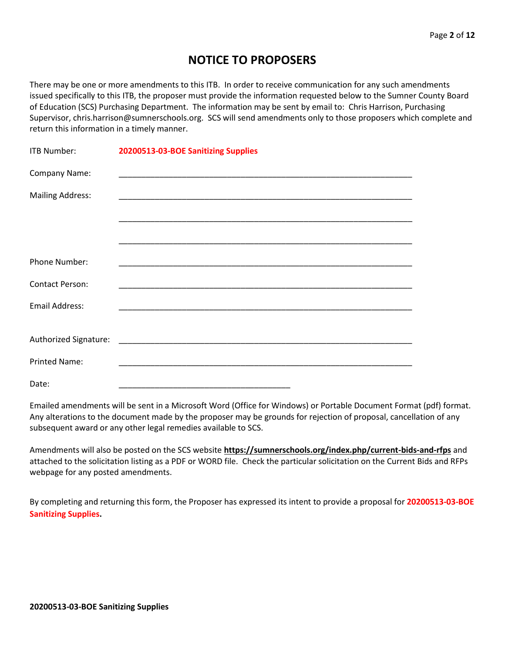# **NOTICE TO PROPOSERS**

There may be one or more amendments to this ITB. In order to receive communication for any such amendments issued specifically to this ITB, the proposer must provide the information requested below to the Sumner County Board of Education (SCS) Purchasing Department. The information may be sent by email to: Chris Harrison, Purchasing Supervisor, chris.harrison@sumnerschools.org. SCS will send amendments only to those proposers which complete and return this information in a timely manner.

| <b>ITB Number:</b>      | 20200513-03-BOE Sanitizing Supplies |
|-------------------------|-------------------------------------|
| Company Name:           |                                     |
| <b>Mailing Address:</b> |                                     |
|                         |                                     |
|                         |                                     |
| Phone Number:           |                                     |
| <b>Contact Person:</b>  |                                     |
| <b>Email Address:</b>   |                                     |
|                         |                                     |
|                         |                                     |
| <b>Printed Name:</b>    |                                     |
| Date:                   |                                     |

Emailed amendments will be sent in a Microsoft Word (Office for Windows) or Portable Document Format (pdf) format. Any alterations to the document made by the proposer may be grounds for rejection of proposal, cancellation of any subsequent award or any other legal remedies available to SCS.

Amendments will also be posted on the SCS website **https://sumnerschools.org/index.php/current-bids-and-rfps** and attached to the solicitation listing as a PDF or WORD file. Check the particular solicitation on the Current Bids and RFPs webpage for any posted amendments.

By completing and returning this form, the Proposer has expressed its intent to provide a proposal for **20200513-03-BOE Sanitizing Supplies.**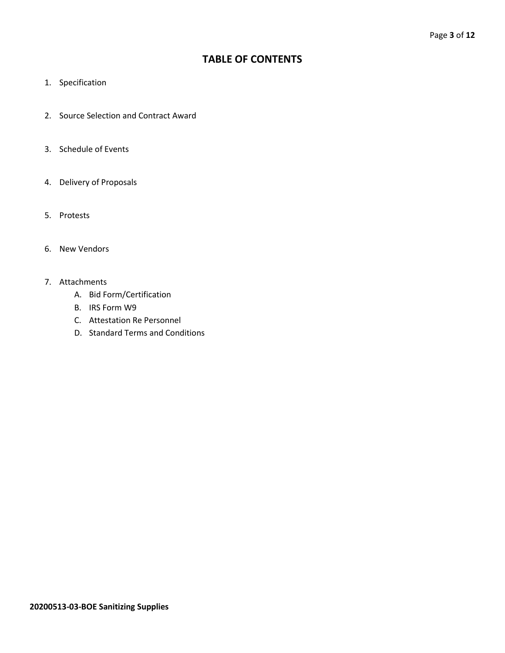# **TABLE OF CONTENTS**

- 1. Specification
- 2. Source Selection and Contract Award
- 3. Schedule of Events
- 4. Delivery of Proposals
- 5. Protests
- 6. New Vendors
- 7. Attachments
	- A. Bid Form/Certification
	- B. IRS Form W9
	- C. Attestation Re Personnel
	- D. Standard Terms and Conditions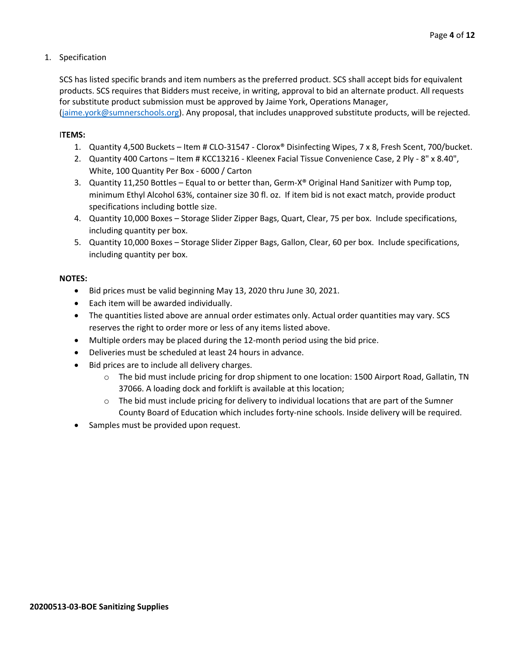#### 1. Specification

SCS has listed specific brands and item numbers as the preferred product. SCS shall accept bids for equivalent products. SCS requires that Bidders must receive, in writing, approval to bid an alternate product. All requests for substitute product submission must be approved by Jaime York, Operations Manager,

[\(jaime.york@sumnerschools.org\)](mailto:jaime.york@sumnerschools.org). Any proposal, that includes unapproved substitute products, will be rejected.

#### I**TEMS:**

- 1. Quantity 4,500 Buckets Item # CLO-31547 Clorox® Disinfecting Wipes, 7 x 8, Fresh Scent, 700/bucket.
- 2. Quantity 400 Cartons Item # KCC13216 Kleenex Facial Tissue Convenience Case, 2 Ply 8" x 8.40", White, 100 Quantity Per Box - 6000 / Carton
- 3. Quantity 11,250 Bottles Equal to or better than, Germ-X® Original Hand Sanitizer with Pump top, minimum Ethyl Alcohol 63%, container size 30 fl. oz. If item bid is not exact match, provide product specifications including bottle size.
- 4. Quantity 10,000 Boxes Storage Slider Zipper Bags, Quart, Clear, 75 per box. Include specifications, including quantity per box.
- 5. Quantity 10,000 Boxes Storage Slider Zipper Bags, Gallon, Clear, 60 per box. Include specifications, including quantity per box.

#### **NOTES:**

- Bid prices must be valid beginning May 13, 2020 thru June 30, 2021.
- Each item will be awarded individually.
- The quantities listed above are annual order estimates only. Actual order quantities may vary. SCS reserves the right to order more or less of any items listed above.
- Multiple orders may be placed during the 12-month period using the bid price.
- Deliveries must be scheduled at least 24 hours in advance.
- Bid prices are to include all delivery charges.
	- o The bid must include pricing for drop shipment to one location: 1500 Airport Road, Gallatin, TN 37066. A loading dock and forklift is available at this location;
	- $\circ$  The bid must include pricing for delivery to individual locations that are part of the Sumner County Board of Education which includes forty-nine schools. Inside delivery will be required.
- Samples must be provided upon request.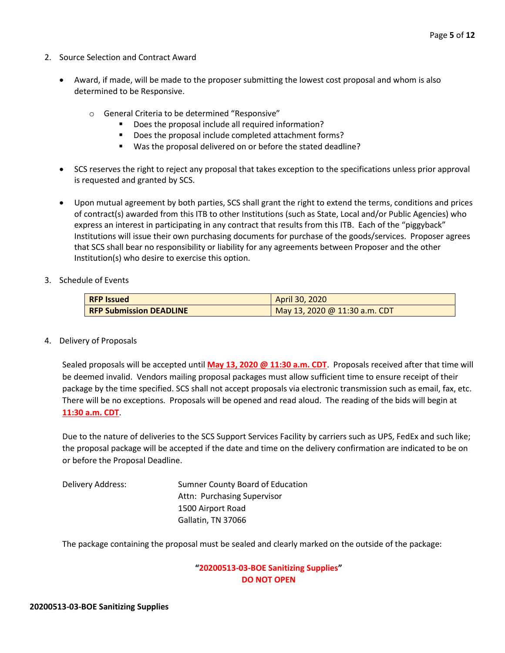- 2. Source Selection and Contract Award
	- Award, if made, will be made to the proposer submitting the lowest cost proposal and whom is also determined to be Responsive.
		- o General Criteria to be determined "Responsive"
			- Does the proposal include all required information?
			- Does the proposal include completed attachment forms?
			- Was the proposal delivered on or before the stated deadline?
	- SCS reserves the right to reject any proposal that takes exception to the specifications unless prior approval is requested and granted by SCS.
	- Upon mutual agreement by both parties, SCS shall grant the right to extend the terms, conditions and prices of contract(s) awarded from this ITB to other Institutions (such as State, Local and/or Public Agencies) who express an interest in participating in any contract that results from this ITB. Each of the "piggyback" Institutions will issue their own purchasing documents for purchase of the goods/services. Proposer agrees that SCS shall bear no responsibility or liability for any agreements between Proposer and the other Institution(s) who desire to exercise this option.
- 3. Schedule of Events

| <b>RFP Issued</b>              | April 30, 2020                |
|--------------------------------|-------------------------------|
| <b>RFP Submission DEADLINE</b> | May 13, 2020 @ 11:30 a.m. CDT |

4. Delivery of Proposals

Sealed proposals will be accepted until **May 13, 2020 @ 11:30 a.m. CDT**. Proposals received after that time will be deemed invalid. Vendors mailing proposal packages must allow sufficient time to ensure receipt of their package by the time specified. SCS shall not accept proposals via electronic transmission such as email, fax, etc. There will be no exceptions. Proposals will be opened and read aloud. The reading of the bids will begin at **11:30 a.m. CDT**.

Due to the nature of deliveries to the SCS Support Services Facility by carriers such as UPS, FedEx and such like; the proposal package will be accepted if the date and time on the delivery confirmation are indicated to be on or before the Proposal Deadline.

Delivery Address: Sumner County Board of Education Attn: Purchasing Supervisor 1500 Airport Road Gallatin, TN 37066

The package containing the proposal must be sealed and clearly marked on the outside of the package:

#### **"20200513-03-BOE Sanitizing Supplies" DO NOT OPEN**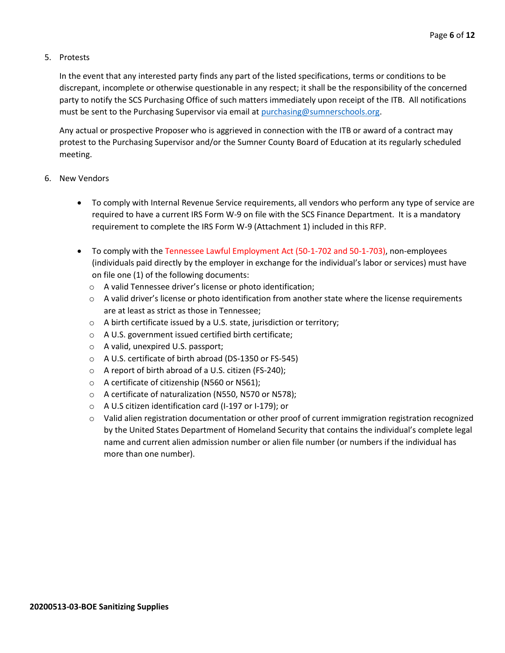#### 5. Protests

In the event that any interested party finds any part of the listed specifications, terms or conditions to be discrepant, incomplete or otherwise questionable in any respect; it shall be the responsibility of the concerned party to notify the SCS Purchasing Office of such matters immediately upon receipt of the ITB. All notifications must be sent to the Purchasing Supervisor via email at [purchasing@sumnerschools.org.](mailto:purchasing@sumnerschools.org)

Any actual or prospective Proposer who is aggrieved in connection with the ITB or award of a contract may protest to the Purchasing Supervisor and/or the Sumner County Board of Education at its regularly scheduled meeting.

#### 6. New Vendors

- To comply with Internal Revenue Service requirements, all vendors who perform any type of service are required to have a current IRS Form W-9 on file with the SCS Finance Department. It is a mandatory requirement to complete the IRS Form W-9 (Attachment 1) included in this RFP.
- To comply with the Tennessee Lawful Employment Act (50-1-702 and 50-1-703), non-employees (individuals paid directly by the employer in exchange for the individual's labor or services) must have on file one (1) of the following documents:
	- o A valid Tennessee driver's license or photo identification;
	- $\circ$  A valid driver's license or photo identification from another state where the license requirements are at least as strict as those in Tennessee;
	- o A birth certificate issued by a U.S. state, jurisdiction or territory;
	- o A U.S. government issued certified birth certificate;
	- o A valid, unexpired U.S. passport;
	- o A U.S. certificate of birth abroad (DS-1350 or FS-545)
	- o A report of birth abroad of a U.S. citizen (FS-240);
	- o A certificate of citizenship (N560 or N561);
	- o A certificate of naturalization (N550, N570 or N578);
	- o A U.S citizen identification card (I-197 or I-179); or
	- $\circ$  Valid alien registration documentation or other proof of current immigration registration recognized by the United States Department of Homeland Security that contains the individual's complete legal name and current alien admission number or alien file number (or numbers if the individual has more than one number).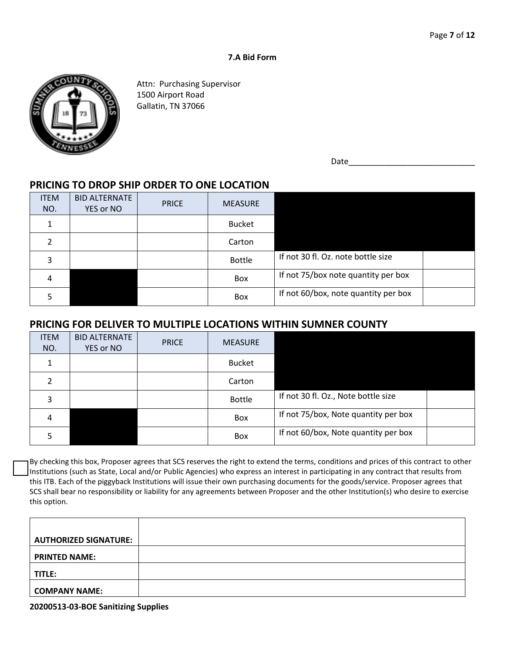#### **7.A Bid Form**



Attn: Purchasing Supervisor 1500 Airport Road Gallatin, TN 37066

Date

# **PRICING TO DROP SHIP ORDER TO ONE LOCATION**

| <b>ITEM</b><br>NO. | <b>BID ALTERNATE</b><br>YES or NO | <b>PRICE</b> | <b>MEASURE</b> |                                      |
|--------------------|-----------------------------------|--------------|----------------|--------------------------------------|
|                    |                                   |              | <b>Bucket</b>  |                                      |
| 2                  |                                   |              | Carton         |                                      |
| 3                  |                                   |              | <b>Bottle</b>  | If not 30 fl. Oz. note bottle size   |
| 4                  |                                   |              | Box            | If not 75/box note quantity per box  |
|                    |                                   |              | <b>Box</b>     | If not 60/box, note quantity per box |

## **PRICING FOR DELIVER TO MULTIPLE LOCATIONS WITHIN SUMNER COUNTY**

| <b>ITEM</b><br>NO. | <b>BID ALTERNATE</b><br>YES or NO | <b>PRICE</b> | <b>MEASURE</b> |                                      |
|--------------------|-----------------------------------|--------------|----------------|--------------------------------------|
| 1                  |                                   |              | <b>Bucket</b>  |                                      |
| 2                  |                                   |              | Carton         |                                      |
| 3                  |                                   |              | <b>Bottle</b>  | If not 30 fl. Oz., Note bottle size  |
| 4                  |                                   |              | <b>Box</b>     | If not 75/box, Note quantity per box |
|                    |                                   |              | Box            | If not 60/box, Note quantity per box |

By checking this box, Proposer agrees that SCS reserves the right to extend the terms, conditions and prices of this contract to other Institutions (such as State, Local and/or Public Agencies) who express an interest in participating in any contract that results from this ITB. Each of the piggyback Institutions will issue their own purchasing documents for the goods/service. Proposer agrees that SCS shall bear no responsibility or liability for any agreements between Proposer and the other Institution(s) who desire to exercise this option.

| <b>AUTHORIZED SIGNATURE:</b> |  |
|------------------------------|--|
| <b>PRINTED NAME:</b>         |  |
| TITLE:                       |  |
| <b>COMPANY NAME:</b>         |  |

**20200513-03-BOE Sanitizing Supplies**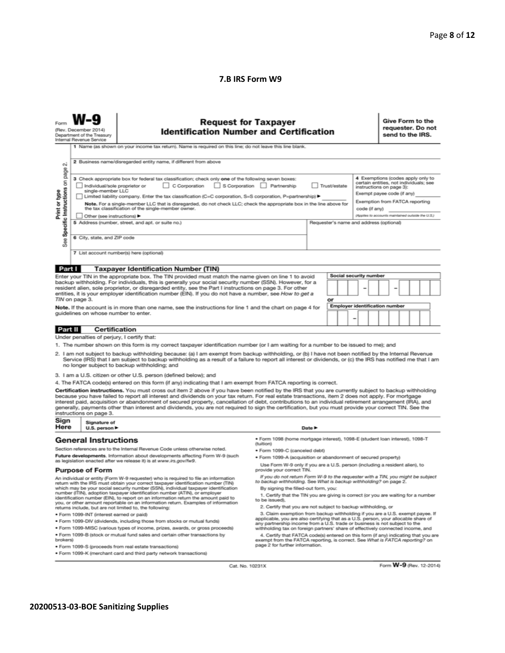#### **7.B IRS Form W9**

| Form | W-9 |                            |
|------|-----|----------------------------|
|      |     | (Rev. December 2014)       |
|      |     | Department of the Treasury |

#### **Request for Taxpayer Identification Number and Certification**

Give Form to the requester. Do not send to the IRS.

1 Name (as shown on your income tax return). Name is required on this line: do not leave this line blank

| οû<br>page                           | 2 Business name/disregarded entity name, if different from above                                                                                                                                                                                                                                                                                                                                                                                                                      |              |                                                                                                                                       |
|--------------------------------------|---------------------------------------------------------------------------------------------------------------------------------------------------------------------------------------------------------------------------------------------------------------------------------------------------------------------------------------------------------------------------------------------------------------------------------------------------------------------------------------|--------------|---------------------------------------------------------------------------------------------------------------------------------------|
| ã<br>Print or type<br>c Instructions | 3 Check appropriate box for federal tax classification; check only one of the following seven boxes:<br>C Corporation<br>S Corporation<br>Individual/sole proprietor or<br>$\mathbf{1}$<br>Partnership<br>single-member LLC                                                                                                                                                                                                                                                           | Trust/estate | 4 Exemptions (codes apply only to<br>certain entities, not individuals; see<br>instructions on page 3):<br>Exempt payee code (if any) |
|                                      | Limited liability company. Enter the tax classification (C=C corporation, S=S corporation, P=partnership) ▶                                                                                                                                                                                                                                                                                                                                                                           |              | Exemption from FATCA reporting                                                                                                        |
|                                      | Note. For a single-member LLC that is disregarded, do not check LLC; check the appropriate box in the line above for<br>the tax classification of the single-member owner.                                                                                                                                                                                                                                                                                                            |              | code (if anv)                                                                                                                         |
|                                      | Other (see instructions) ▶                                                                                                                                                                                                                                                                                                                                                                                                                                                            |              | (Applies to accounts maintained outside the U.S.)                                                                                     |
| Specific                             | 5 Address (number, street, and apt. or suite no.)                                                                                                                                                                                                                                                                                                                                                                                                                                     |              | Requester's name and address (optional)                                                                                               |
| See                                  | 6 City, state, and ZIP code                                                                                                                                                                                                                                                                                                                                                                                                                                                           |              |                                                                                                                                       |
|                                      | 7 List account number(s) here (optional)                                                                                                                                                                                                                                                                                                                                                                                                                                              |              |                                                                                                                                       |
| Part I                               | <b>Taxpayer Identification Number (TIN)</b>                                                                                                                                                                                                                                                                                                                                                                                                                                           |              |                                                                                                                                       |
|                                      | Enter your TIN in the appropriate box. The TIN provided must match the name given on line 1 to avoid<br>backup withholding. For individuals, this is generally your social security number (SSN). However, for a<br>resident alien, sole proprietor, or disregarded entity, see the Part I instructions on page 3. For other<br>entities, it is your employer identification number (EIN). If you do not have a number, see How to get a<br><b>THE R. P. LEWIS CO., LANSING MICH.</b> |              | Social security number<br>-<br>-                                                                                                      |

Note. If the account is in more than one name, see the instructions for line 1 and the chart on page 4 for guidelines on whose number to enter.

#### Certification Part II

Under penalties of perjury, I certify that:

- 1. The number shown on this form is my correct taxpayer identification number (or I am waiting for a number to be issued to me); and
- 2. I am not subject to backup withholding because: (a) I am exempt from backup withholding, or (b) I have not been notified by the Internal Revenue<br>Service (IRS) that I am subject to backup withholding as a result of a fai no longer subject to backup withholding; and
- 3. I am a U.S. citizen or other U.S. person (defined below); and

4. The FATCA code(s) entered on this form (if any) indicating that I am exempt from FATCA reporting is correct.

Certification instructions. You must cross out item 2 above if you have been notified by the IRS that you are currently subject to backup withholding because you have failed to report all interest and dividends on your tax return. For real estate transactions, item 2 does not apply. For mortgage interest paid, acquisition or abandonment of secured property, cancellation of debt, contributions to an individual retirement arrangement (IRA), and generally, payments other than interest and dividends, you are not requi

| Sign<br>Here | _____<br>Signature of<br>U.S. person ▶ | Date $\blacktriangleright$ |
|--------------|----------------------------------------|----------------------------|
|              |                                        |                            |

#### **General Instructions**

Section references are to the Internal Revenue Code unless otherwise noted. Future developments. Information about developments affecting Form W-9 (such as legislation enacted after we release it) is at www.irs.gov/fw9.

#### **Purpose of Form**

An individual or entity (Form W-9 requester) who is required to file an information<br>return with the IRS must obtain your correct taxpayer identification number (TIN)<br>which may be your social security number (SSN), individu returns include, but are not limited to, the following:

- · Form 1099-INT (interest earned or paid)
- . Form 1099-DIV (dividends, including those from stocks or mutual funds)

· Form 1099-MISC (various types of income, prizes, awards, or gross proceeds) . Form 1099-B (stock or mutual fund sales and certain other transactions by

brokers)

· Form 1099-S (proceeds from real estate transactions)

. Form 1099-K (merchant card and third party network transactions)

· Form 1098 (home mortgage interest), 1098-E (student loan interest), 1098-T (tuition)

**Employer identification number** 

- · Form 1099-C (canceled debt)
- · Form 1099-A (acquisition or abandonment of secured property)

Use Form W-9 only if you are a U.S. person (including a resident alien), to provide your correct TIN.

- If you do not return Form W-9 to the requester with a TIN, you might be subject<br>to backup withholding. See What is backup withholding? on page 2. By signing the filled-out form, you:
- 1. Certify that the TIN you are giving is correct (or you are waiting for a number to be issue
- 2. Certify that you are not subject to backup withholding, or

2. Claim exemption from backup withholding if you are a U.S. exempt payee. If applicable, you are also certifying that as a U.S. exempt payee. If applicable, you are also certifying that as a U.S. person, your allocable sh

4. Certify that FATCA code(s) entered on this form (if any) indicating that you are exempt from the FATCA reporting, is correct. See What is FATCA reporting? on page 2 for further information.

Cat. No. 10231X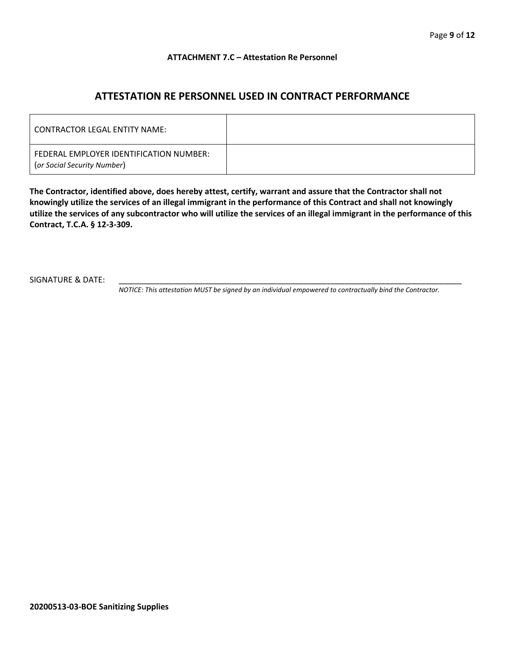#### **ATTACHMENT 7.C – Attestation Re Personnel**

# **ATTESTATION RE PERSONNEL USED IN CONTRACT PERFORMANCE**

| CONTRACTOR LEGAL ENTITY NAME:                                          |  |
|------------------------------------------------------------------------|--|
| FEDERAL EMPLOYER IDENTIFICATION NUMBER:<br>(or Social Security Number) |  |

**The Contractor, identified above, does hereby attest, certify, warrant and assure that the Contractor shall not knowingly utilize the services of an illegal immigrant in the performance of this Contract and shall not knowingly utilize the services of any subcontractor who will utilize the services of an illegal immigrant in the performance of this Contract, T.C.A. § 12-3-309.**

SIGNATURE & DATE:

*NOTICE: This attestation MUST be signed by an individual empowered to contractually bind the Contractor.*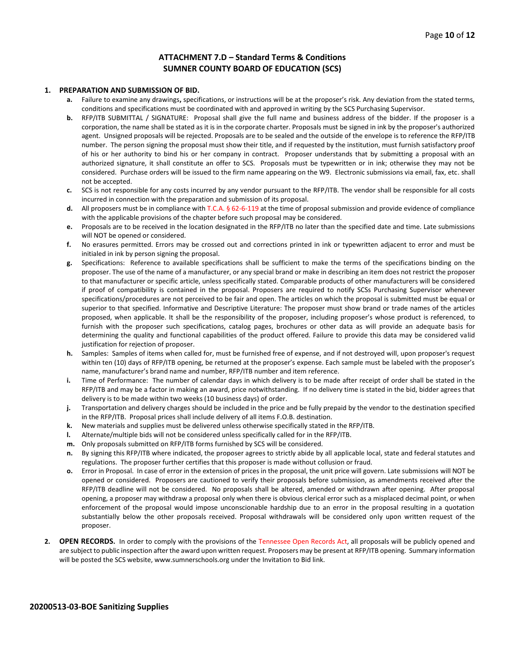#### **ATTACHMENT 7.D – Standard Terms & Conditions SUMNER COUNTY BOARD OF EDUCATION (SCS)**

#### **1. PREPARATION AND SUBMISSION OF BID.**

- **a.** Failure to examine any drawings**,** specifications, or instructions will be at the proposer's risk. Any deviation from the stated terms, conditions and specifications must be coordinated with and approved in writing by the SCS Purchasing Supervisor.
- **b.** RFP/ITB SUBMITTAL / SIGNATURE: Proposal shall give the full name and business address of the bidder. If the proposer is a corporation, the name shall be stated as it is in the corporate charter. Proposals must be signed in ink by the proposer's authorized agent. Unsigned proposals will be rejected. Proposals are to be sealed and the outside of the envelope is to reference the RFP/ITB number. The person signing the proposal must show their title, and if requested by the institution, must furnish satisfactory proof of his or her authority to bind his or her company in contract. Proposer understands that by submitting a proposal with an authorized signature, it shall constitute an offer to SCS. Proposals must be typewritten or in ink; otherwise they may not be considered. Purchase orders will be issued to the firm name appearing on the W9. Electronic submissions via email, fax, etc. shall not be accepted.
- **c.** SCS is not responsible for any costs incurred by any vendor pursuant to the RFP/ITB. The vendor shall be responsible for all costs incurred in connection with the preparation and submission of its proposal.
- **d.** All proposers must be in compliance with T.C.A. § 62-6-119 at the time of proposal submission and provide evidence of compliance with the applicable provisions of the chapter before such proposal may be considered.
- **e.** Proposals are to be received in the location designated in the RFP/ITB no later than the specified date and time. Late submissions will NOT be opened or considered.
- **f.** No erasures permitted. Errors may be crossed out and corrections printed in ink or typewritten adjacent to error and must be initialed in ink by person signing the proposal.
- **g.** Specifications: Reference to available specifications shall be sufficient to make the terms of the specifications binding on the proposer. The use of the name of a manufacturer, or any special brand or make in describing an item does not restrict the proposer to that manufacturer or specific article, unless specifically stated. Comparable products of other manufacturers will be considered if proof of compatibility is contained in the proposal. Proposers are required to notify SCSs Purchasing Supervisor whenever specifications/procedures are not perceived to be fair and open. The articles on which the proposal is submitted must be equal or superior to that specified. Informative and Descriptive Literature: The proposer must show brand or trade names of the articles proposed, when applicable. It shall be the responsibility of the proposer, including proposer's whose product is referenced, to furnish with the proposer such specifications, catalog pages, brochures or other data as will provide an adequate basis for determining the quality and functional capabilities of the product offered. Failure to provide this data may be considered valid justification for rejection of proposer.
- **h.** Samples: Samples of items when called for, must be furnished free of expense, and if not destroyed will, upon proposer's request within ten (10) days of RFP/ITB opening, be returned at the proposer's expense. Each sample must be labeled with the proposer's name, manufacturer's brand name and number, RFP/ITB number and item reference.
- **i.** Time of Performance: The number of calendar days in which delivery is to be made after receipt of order shall be stated in the RFP/ITB and may be a factor in making an award, price notwithstanding. If no delivery time is stated in the bid, bidder agrees that delivery is to be made within two weeks (10 business days) of order.
- **j.** Transportation and delivery charges should be included in the price and be fully prepaid by the vendor to the destination specified in the RFP/ITB. Proposal prices shall include delivery of all items F.O.B. destination.
- **k.** New materials and supplies must be delivered unless otherwise specifically stated in the RFP/ITB.
- **l.** Alternate/multiple bids will not be considered unless specifically called for in the RFP/ITB.
- **m.** Only proposals submitted on RFP/ITB forms furnished by SCS will be considered.
- **n.** By signing this RFP/ITB where indicated, the proposer agrees to strictly abide by all applicable local, state and federal statutes and regulations. The proposer further certifies that this proposer is made without collusion or fraud.
- **o.** Error in Proposal. In case of error in the extension of prices in the proposal, the unit price will govern. Late submissions will NOT be opened or considered. Proposers are cautioned to verify their proposals before submission, as amendments received after the RFP/ITB deadline will not be considered. No proposals shall be altered, amended or withdrawn after opening. After proposal opening, a proposer may withdraw a proposal only when there is obvious clerical error such as a misplaced decimal point, or when enforcement of the proposal would impose unconscionable hardship due to an error in the proposal resulting in a quotation substantially below the other proposals received. Proposal withdrawals will be considered only upon written request of the proposer.
- **2. OPEN RECORDS.** In order to comply with the provisions of the Tennessee Open Records Act, all proposals will be publicly opened and are subject to public inspection after the award upon written request. Proposers may be present at RFP/ITB opening. Summary information will be posted the SCS website, www.sumnerschools.org under the Invitation to Bid link.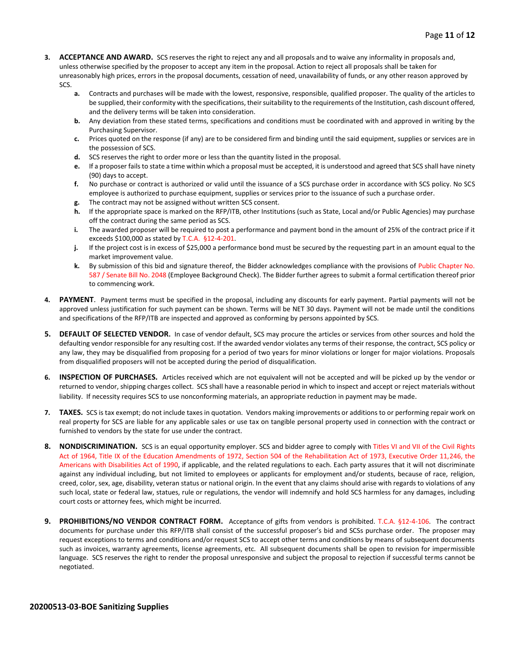- **3. ACCEPTANCE AND AWARD.** SCS reserves the right to reject any and all proposals and to waive any informality in proposals and, unless otherwise specified by the proposer to accept any item in the proposal. Action to reject all proposals shall be taken for unreasonably high prices, errors in the proposal documents, cessation of need, unavailability of funds, or any other reason approved by SCS.
	- **a.** Contracts and purchases will be made with the lowest, responsive, responsible, qualified proposer. The quality of the articles to be supplied, their conformity with the specifications, their suitability to the requirements of the Institution, cash discount offered, and the delivery terms will be taken into consideration.
	- **b.** Any deviation from these stated terms, specifications and conditions must be coordinated with and approved in writing by the Purchasing Supervisor.
	- **c.** Prices quoted on the response (if any) are to be considered firm and binding until the said equipment, supplies or services are in the possession of SCS.
	- **d.** SCS reserves the right to order more or less than the quantity listed in the proposal.
	- **e.** If a proposer fails to state a time within which a proposal must be accepted, it is understood and agreed that SCS shall have ninety (90) days to accept.
	- **f.** No purchase or contract is authorized or valid until the issuance of a SCS purchase order in accordance with SCS policy. No SCS employee is authorized to purchase equipment, supplies or services prior to the issuance of such a purchase order.
	- **g.** The contract may not be assigned without written SCS consent.
	- **h.** If the appropriate space is marked on the RFP/ITB, other Institutions (such as State, Local and/or Public Agencies) may purchase off the contract during the same period as SCS.
	- **i.** The awarded proposer will be required to post a performance and payment bond in the amount of 25% of the contract price if it exceeds \$100,000 as stated by T.C.A. §12-4-201.
	- **j.** If the project cost is in excess of \$25,000 a performance bond must be secured by the requesting part in an amount equal to the market improvement value.
	- **k.** By submission of this bid and signature thereof, the Bidder acknowledges compliance with the provisions of Public Chapter No. 587 / Senate Bill No. 2048 (Employee Background Check). The Bidder further agrees to submit a formal certification thereof prior to commencing work.
- **4. PAYMENT**. Payment terms must be specified in the proposal, including any discounts for early payment. Partial payments will not be approved unless justification for such payment can be shown. Terms will be NET 30 days. Payment will not be made until the conditions and specifications of the RFP/ITB are inspected and approved as conforming by persons appointed by SCS.
- **5. DEFAULT OF SELECTED VENDOR.** In case of vendor default, SCS may procure the articles or services from other sources and hold the defaulting vendor responsible for any resulting cost. If the awarded vendor violates any terms of their response, the contract, SCS policy or any law, they may be disqualified from proposing for a period of two years for minor violations or longer for major violations. Proposals from disqualified proposers will not be accepted during the period of disqualification.
- **6. INSPECTION OF PURCHASES.** Articles received which are not equivalent will not be accepted and will be picked up by the vendor or returned to vendor, shipping charges collect. SCS shall have a reasonable period in which to inspect and accept or reject materials without liability. If necessity requires SCS to use nonconforming materials, an appropriate reduction in payment may be made.
- **7. TAXES.** SCS is tax exempt; do not include taxes in quotation. Vendors making improvements or additions to or performing repair work on real property for SCS are liable for any applicable sales or use tax on tangible personal property used in connection with the contract or furnished to vendors by the state for use under the contract.
- **8. NONDISCRIMINATION.** SCS is an equal opportunity employer. SCS and bidder agree to comply with Titles VI and VII of the Civil Rights Act of 1964, Title IX of the Education Amendments of 1972, Section 504 of the Rehabilitation Act of 1973, Executive Order 11,246, the Americans with Disabilities Act of 1990, if applicable, and the related regulations to each. Each party assures that it will not discriminate against any individual including, but not limited to employees or applicants for employment and/or students, because of race, religion, creed, color, sex, age, disability, veteran status or national origin. In the event that any claims should arise with regards to violations of any such local, state or federal law, statues, rule or regulations, the vendor will indemnify and hold SCS harmless for any damages, including court costs or attorney fees, which might be incurred.
- **9. PROHIBITIONS/NO VENDOR CONTRACT FORM.** Acceptance of gifts from vendors is prohibited. T.C.A. §12-4-106. The contract documents for purchase under this RFP/ITB shall consist of the successful proposer's bid and SCSs purchase order. The proposer may request exceptions to terms and conditions and/or request SCS to accept other terms and conditions by means of subsequent documents such as invoices, warranty agreements, license agreements, etc. All subsequent documents shall be open to revision for impermissible language. SCS reserves the right to render the proposal unresponsive and subject the proposal to rejection if successful terms cannot be negotiated.